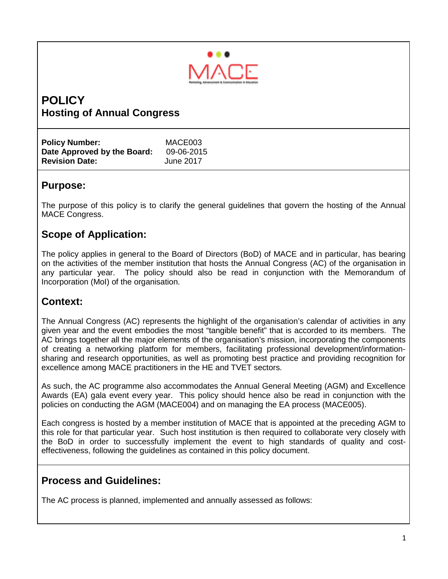

# **POLICY Hosting of Annual Congress**

| <b>Policy Number:</b>       | MACE003    |
|-----------------------------|------------|
| Date Approved by the Board: | 09-06-2015 |
| <b>Revision Date:</b>       | June 2017  |

## **Purpose:**

The purpose of this policy is to clarify the general guidelines that govern the hosting of the Annual MACE Congress.

# **Scope of Application:**

The policy applies in general to the Board of Directors (BoD) of MACE and in particular, has bearing on the activities of the member institution that hosts the Annual Congress (AC) of the organisation in any particular year. The policy should also be read in conjunction with the Memorandum of Incorporation (MoI) of the organisation.

# **Context:**

The Annual Congress (AC) represents the highlight of the organisation's calendar of activities in any given year and the event embodies the most "tangible benefit" that is accorded to its members. The AC brings together all the major elements of the organisation's mission, incorporating the components of creating a networking platform for members, facilitating professional development/informationsharing and research opportunities, as well as promoting best practice and providing recognition for excellence among MACE practitioners in the HE and TVET sectors.

As such, the AC programme also accommodates the Annual General Meeting (AGM) and Excellence Awards (EA) gala event every year. This policy should hence also be read in conjunction with the policies on conducting the AGM (MACE004) and on managing the EA process (MACE005).

Each congress is hosted by a member institution of MACE that is appointed at the preceding AGM to this role for that particular year. Such host institution is then required to collaborate very closely with the BoD in order to successfully implement the event to high standards of quality and costeffectiveness, following the guidelines as contained in this policy document.

# **Process and Guidelines:**

The AC process is planned, implemented and annually assessed as follows: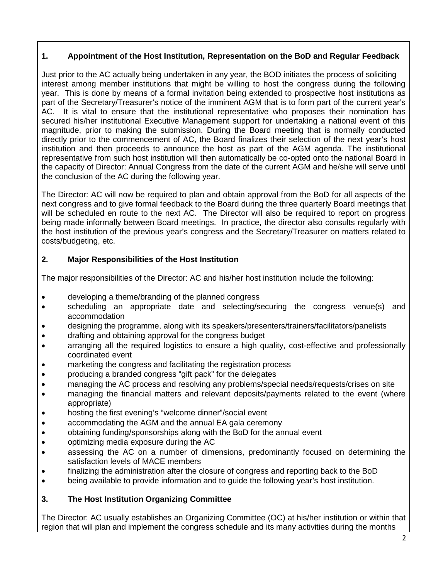### **1. Appointment of the Host Institution, Representation on the BoD and Regular Feedback**

Just prior to the AC actually being undertaken in any year, the BOD initiates the process of soliciting interest among member institutions that might be willing to host the congress during the following year. This is done by means of a formal invitation being extended to prospective host institutions as part of the Secretary/Treasurer's notice of the imminent AGM that is to form part of the current year's AC. It is vital to ensure that the institutional representative who proposes their nomination has secured his/her institutional Executive Management support for undertaking a national event of this magnitude, prior to making the submission. During the Board meeting that is normally conducted directly prior to the commencement of AC, the Board finalizes their selection of the next year's host institution and then proceeds to announce the host as part of the AGM agenda. The institutional representative from such host institution will then automatically be co-opted onto the national Board in the capacity of Director: Annual Congress from the date of the current AGM and he/she will serve until the conclusion of the AC during the following year.

The Director: AC will now be required to plan and obtain approval from the BoD for all aspects of the next congress and to give formal feedback to the Board during the three quarterly Board meetings that will be scheduled en route to the next AC. The Director will also be required to report on progress being made informally between Board meetings. In practice, the director also consults regularly with the host institution of the previous year's congress and the Secretary/Treasurer on matters related to costs/budgeting, etc.

#### **2. Major Responsibilities of the Host Institution**

The major responsibilities of the Director: AC and his/her host institution include the following:

- developing a theme/branding of the planned congress
- scheduling an appropriate date and selecting/securing the congress venue(s) and accommodation
- designing the programme, along with its speakers/presenters/trainers/facilitators/panelists
- drafting and obtaining approval for the congress budget
- arranging all the required logistics to ensure a high quality, cost-effective and professionally coordinated event
- marketing the congress and facilitating the registration process
- producing a branded congress "gift pack" for the delegates
- managing the AC process and resolving any problems/special needs/requests/crises on site
- managing the financial matters and relevant deposits/payments related to the event (where appropriate)
- hosting the first evening's "welcome dinner"/social event
- accommodating the AGM and the annual EA gala ceremony
- obtaining funding/sponsorships along with the BoD for the annual event
- optimizing media exposure during the AC
- assessing the AC on a number of dimensions, predominantly focused on determining the satisfaction levels of MACE members
- finalizing the administration after the closure of congress and reporting back to the BoD
- being available to provide information and to quide the following year's host institution.

#### **3. The Host Institution Organizing Committee**

The Director: AC usually establishes an Organizing Committee (OC) at his/her institution or within that region that will plan and implement the congress schedule and its many activities during the months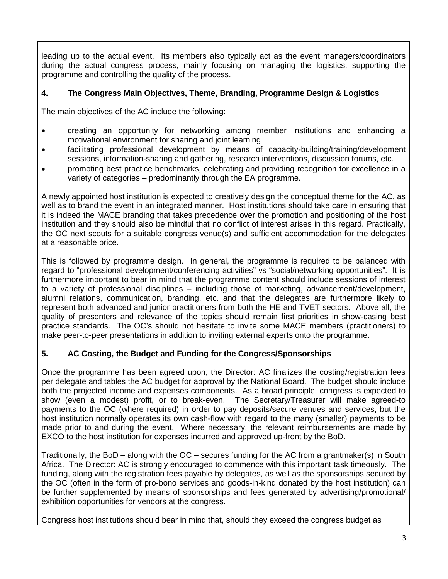leading up to the actual event. Its members also typically act as the event managers/coordinators during the actual congress process, mainly focusing on managing the logistics, supporting the programme and controlling the quality of the process.

#### **4. The Congress Main Objectives, Theme, Branding, Programme Design & Logistics**

The main objectives of the AC include the following:

- creating an opportunity for networking among member institutions and enhancing a motivational environment for sharing and joint learning
- facilitating professional development by means of capacity-building/training/development sessions, information-sharing and gathering, research interventions, discussion forums, etc.
- promoting best practice benchmarks, celebrating and providing recognition for excellence in a variety of categories – predominantly through the EA programme.

A newly appointed host institution is expected to creatively design the conceptual theme for the AC, as well as to brand the event in an integrated manner. Host institutions should take care in ensuring that it is indeed the MACE branding that takes precedence over the promotion and positioning of the host institution and they should also be mindful that no conflict of interest arises in this regard. Practically, the OC next scouts for a suitable congress venue(s) and sufficient accommodation for the delegates at a reasonable price.

This is followed by programme design. In general, the programme is required to be balanced with regard to "professional development/conferencing activities" vs "social/networking opportunities". It is furthermore important to bear in mind that the programme content should include sessions of interest to a variety of professional disciplines – including those of marketing, advancement/development, alumni relations, communication, branding, etc. and that the delegates are furthermore likely to represent both advanced and junior practitioners from both the HE and TVET sectors. Above all, the quality of presenters and relevance of the topics should remain first priorities in show-casing best practice standards. The OC's should not hesitate to invite some MACE members (practitioners) to make peer-to-peer presentations in addition to inviting external experts onto the programme.

#### **5. AC Costing, the Budget and Funding for the Congress/Sponsorships**

Once the programme has been agreed upon, the Director: AC finalizes the costing/registration fees per delegate and tables the AC budget for approval by the National Board. The budget should include both the projected income and expenses components. As a broad principle, congress is expected to show (even a modest) profit, or to break-even. The Secretary/Treasurer will make agreed-to payments to the OC (where required) in order to pay deposits/secure venues and services, but the host institution normally operates its own cash-flow with regard to the many (smaller) payments to be made prior to and during the event. Where necessary, the relevant reimbursements are made by EXCO to the host institution for expenses incurred and approved up-front by the BoD.

Traditionally, the BoD – along with the OC – secures funding for the AC from a grantmaker(s) in South Africa. The Director: AC is strongly encouraged to commence with this important task timeously. The funding, along with the registration fees payable by delegates, as well as the sponsorships secured by the OC (often in the form of pro-bono services and goods-in-kind donated by the host institution) can be further supplemented by means of sponsorships and fees generated by advertising/promotional/ exhibition opportunities for vendors at the congress.

Congress host institutions should bear in mind that, should they exceed the congress budget as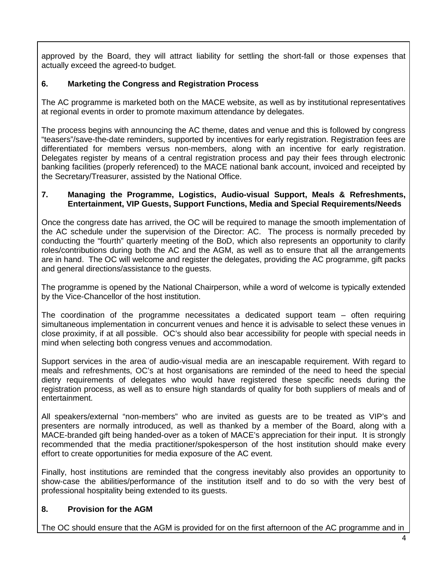approved by the Board, they will attract liability for settling the short-fall or those expenses that actually exceed the agreed-to budget.

#### **6. Marketing the Congress and Registration Process**

The AC programme is marketed both on the MACE website, as well as by institutional representatives at regional events in order to promote maximum attendance by delegates.

The process begins with announcing the AC theme, dates and venue and this is followed by congress "teasers"/save-the-date reminders, supported by incentives for early registration. Registration fees are differentiated for members versus non-members, along with an incentive for early registration. Delegates register by means of a central registration process and pay their fees through electronic banking facilities (properly referenced) to the MACE national bank account, invoiced and receipted by the Secretary/Treasurer, assisted by the National Office.

#### **7. Managing the Programme, Logistics, Audio-visual Support, Meals & Refreshments, Entertainment, VIP Guests, Support Functions, Media and Special Requirements/Needs**

Once the congress date has arrived, the OC will be required to manage the smooth implementation of the AC schedule under the supervision of the Director: AC. The process is normally preceded by conducting the "fourth" quarterly meeting of the BoD, which also represents an opportunity to clarify roles/contributions during both the AC and the AGM, as well as to ensure that all the arrangements are in hand. The OC will welcome and register the delegates, providing the AC programme, gift packs and general directions/assistance to the guests.

The programme is opened by the National Chairperson, while a word of welcome is typically extended by the Vice-Chancellor of the host institution.

The coordination of the programme necessitates a dedicated support team – often requiring simultaneous implementation in concurrent venues and hence it is advisable to select these venues in close proximity, if at all possible. OC's should also bear accessibility for people with special needs in mind when selecting both congress venues and accommodation.

Support services in the area of audio-visual media are an inescapable requirement. With regard to meals and refreshments, OC's at host organisations are reminded of the need to heed the special dietry requirements of delegates who would have registered these specific needs during the registration process, as well as to ensure high standards of quality for both suppliers of meals and of entertainment.

All speakers/external "non-members" who are invited as guests are to be treated as VIP's and presenters are normally introduced, as well as thanked by a member of the Board, along with a MACE-branded gift being handed-over as a token of MACE's appreciation for their input. It is strongly recommended that the media practitioner/spokesperson of the host institution should make every effort to create opportunities for media exposure of the AC event.

Finally, host institutions are reminded that the congress inevitably also provides an opportunity to show-case the abilities/performance of the institution itself and to do so with the very best of professional hospitality being extended to its guests.

### **8. Provision for the AGM**

The OC should ensure that the AGM is provided for on the first afternoon of the AC programme and in